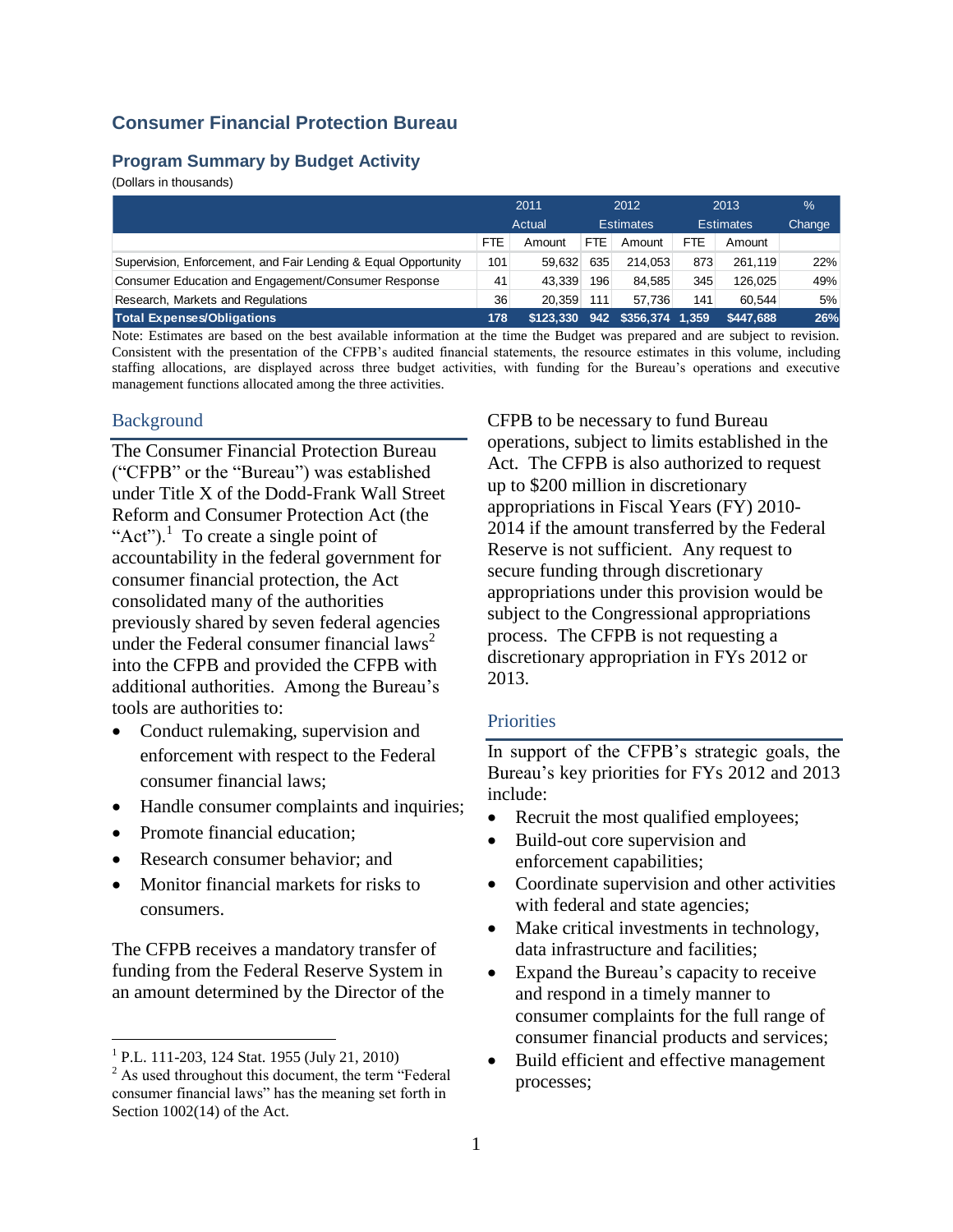# **Consumer Financial Protection Bureau**

#### **Program Summary by Budget Activity**

(Dollars in thousands)

|                                                                | 2011<br>2012 |                            | 2013             |                  | %                |           |     |
|----------------------------------------------------------------|--------------|----------------------------|------------------|------------------|------------------|-----------|-----|
|                                                                |              | Actual<br><b>Estimates</b> |                  |                  | <b>Estimates</b> | Change    |     |
|                                                                | FTE.         | Amount                     | FTE.             | Amount           | FTE.             | Amount    |     |
| Supervision, Enforcement, and Fair Lending & Equal Opportunity | 101          | 59.632                     | 635              | 214.053          | 873              | 261.119   | 22% |
| Consumer Education and Engagement/Consumer Response            | 41           | 43.339                     | 196              | 84.585           | 345              | 126.025   | 49% |
| Research, Markets and Regulations                              | 36           | 20.359                     | 111 <sub>1</sub> | 57.736           | 141              | 60.544    | 5%  |
| <b>Total Expenses/Obligations</b>                              | 178          | \$123.330                  | 942              | $$356,374$ 1,359 |                  | \$447.688 | 26% |

Note: Estimates are based on the best available information at the time the Budget was prepared and are subject to revision. Consistent with the presentation of the CFPB's audited financial statements, the resource estimates in this volume, including staffing allocations, are displayed across three budget activities, with funding for the Bureau's operations and executive management functions allocated among the three activities.

#### Background

The Consumer Financial Protection Bureau ("CFPB" or the "Bureau") was established under Title X of the Dodd-Frank Wall Street Reform and Consumer Protection Act (the "Act").<sup>1</sup> To create a single point of accountability in the federal government for consumer financial protection, the Act consolidated many of the authorities previously shared by seven federal agencies under the Federal consumer financial laws<sup>2</sup> into the CFPB and provided the CFPB with additional authorities. Among the Bureau's tools are authorities to:

- Conduct rulemaking, supervision and enforcement with respect to the Federal consumer financial laws;
- Handle consumer complaints and inquiries;
- Promote financial education;
- Research consumer behavior: and
- Monitor financial markets for risks to consumers.

The CFPB receives a mandatory transfer of funding from the Federal Reserve System in an amount determined by the Director of the

 $\overline{a}$ 

CFPB to be necessary to fund Bureau operations, subject to limits established in the Act. The CFPB is also authorized to request up to \$200 million in discretionary appropriations in Fiscal Years (FY) 2010- 2014 if the amount transferred by the Federal Reserve is not sufficient. Any request to secure funding through discretionary appropriations under this provision would be subject to the Congressional appropriations process. The CFPB is not requesting a discretionary appropriation in FYs 2012 or 2013.

#### **Priorities**

In support of the CFPB's strategic goals, the Bureau's key priorities for FYs 2012 and 2013 include:

- Recruit the most qualified employees;
- Build-out core supervision and enforcement capabilities;
- Coordinate supervision and other activities with federal and state agencies;
- Make critical investments in technology, data infrastructure and facilities;
- Expand the Bureau's capacity to receive and respond in a timely manner to consumer complaints for the full range of consumer financial products and services;
- Build efficient and effective management processes;

<sup>&</sup>lt;sup>1</sup> P.L. 111-203, 124 Stat. 1955 (July 21, 2010)

 $2$  As used throughout this document, the term "Federal consumer financial laws" has the meaning set forth in Section 1002(14) of the Act.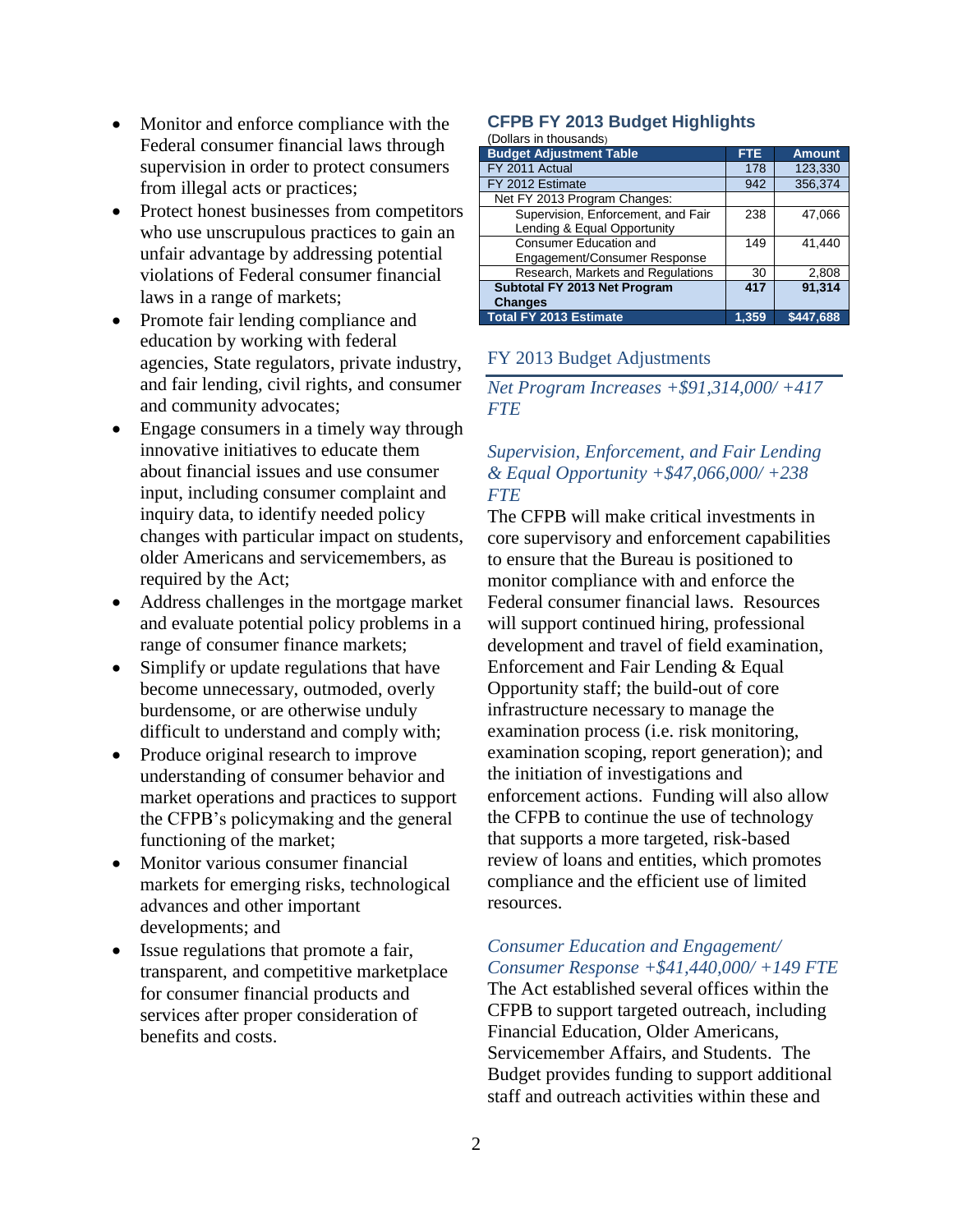- Monitor and enforce compliance with the Federal consumer financial laws through supervision in order to protect consumers from illegal acts or practices;
- Protect honest businesses from competitors who use unscrupulous practices to gain an unfair advantage by addressing potential violations of Federal consumer financial laws in a range of markets;
- Promote fair lending compliance and education by working with federal agencies, State regulators, private industry, and fair lending, civil rights, and consumer and community advocates;
- Engage consumers in a timely way through innovative initiatives to educate them about financial issues and use consumer input, including consumer complaint and inquiry data, to identify needed policy changes with particular impact on students, older Americans and servicemembers, as required by the Act;
- Address challenges in the mortgage market and evaluate potential policy problems in a range of consumer finance markets;
- Simplify or update regulations that have become unnecessary, outmoded, overly burdensome, or are otherwise unduly difficult to understand and comply with;
- Produce original research to improve understanding of consumer behavior and market operations and practices to support the CFPB's policymaking and the general functioning of the market;
- Monitor various consumer financial markets for emerging risks, technological advances and other important developments; and
- Issue regulations that promote a fair, transparent, and competitive marketplace for consumer financial products and services after proper consideration of benefits and costs.

# **CFPB FY 2013 Budget Highlights**

#### (Dollars in thousands)

| <b>Budget Adjustment Table</b>     | <b>FTE</b> | <b>Amount</b> |
|------------------------------------|------------|---------------|
| FY 2011 Actual                     | 178        | 123,330       |
| FY 2012 Estimate                   | 942        | 356,374       |
| Net FY 2013 Program Changes:       |            |               |
| Supervision, Enforcement, and Fair | 238        | 47.066        |
| Lending & Equal Opportunity        |            |               |
| Consumer Education and             | 149        | 41.440        |
| Engagement/Consumer Response       |            |               |
| Research, Markets and Regulations  | 30         | 2,808         |
| Subtotal FY 2013 Net Program       | 417        | 91.314        |
| <b>Changes</b>                     |            |               |
| <b>Total FY 2013 Estimate</b>      | 1.359      | \$447.688     |

### FY 2013 Budget Adjustments

*Net Program Increases +\$91,314,000/ +417 FTE*

## *Supervision, Enforcement, and Fair Lending & Equal Opportunity +\$47,066,000/ +238 FTE*

The CFPB will make critical investments in core supervisory and enforcement capabilities to ensure that the Bureau is positioned to monitor compliance with and enforce the Federal consumer financial laws. Resources will support continued hiring, professional development and travel of field examination, Enforcement and Fair Lending & Equal Opportunity staff; the build-out of core infrastructure necessary to manage the examination process (i.e. risk monitoring, examination scoping, report generation); and the initiation of investigations and enforcement actions. Funding will also allow the CFPB to continue the use of technology that supports a more targeted, risk-based review of loans and entities, which promotes compliance and the efficient use of limited resources.

#### *Consumer Education and Engagement/ Consumer Response +\$41,440,000/ +149 FTE*

The Act established several offices within the CFPB to support targeted outreach, including Financial Education, Older Americans, Servicemember Affairs, and Students. The Budget provides funding to support additional staff and outreach activities within these and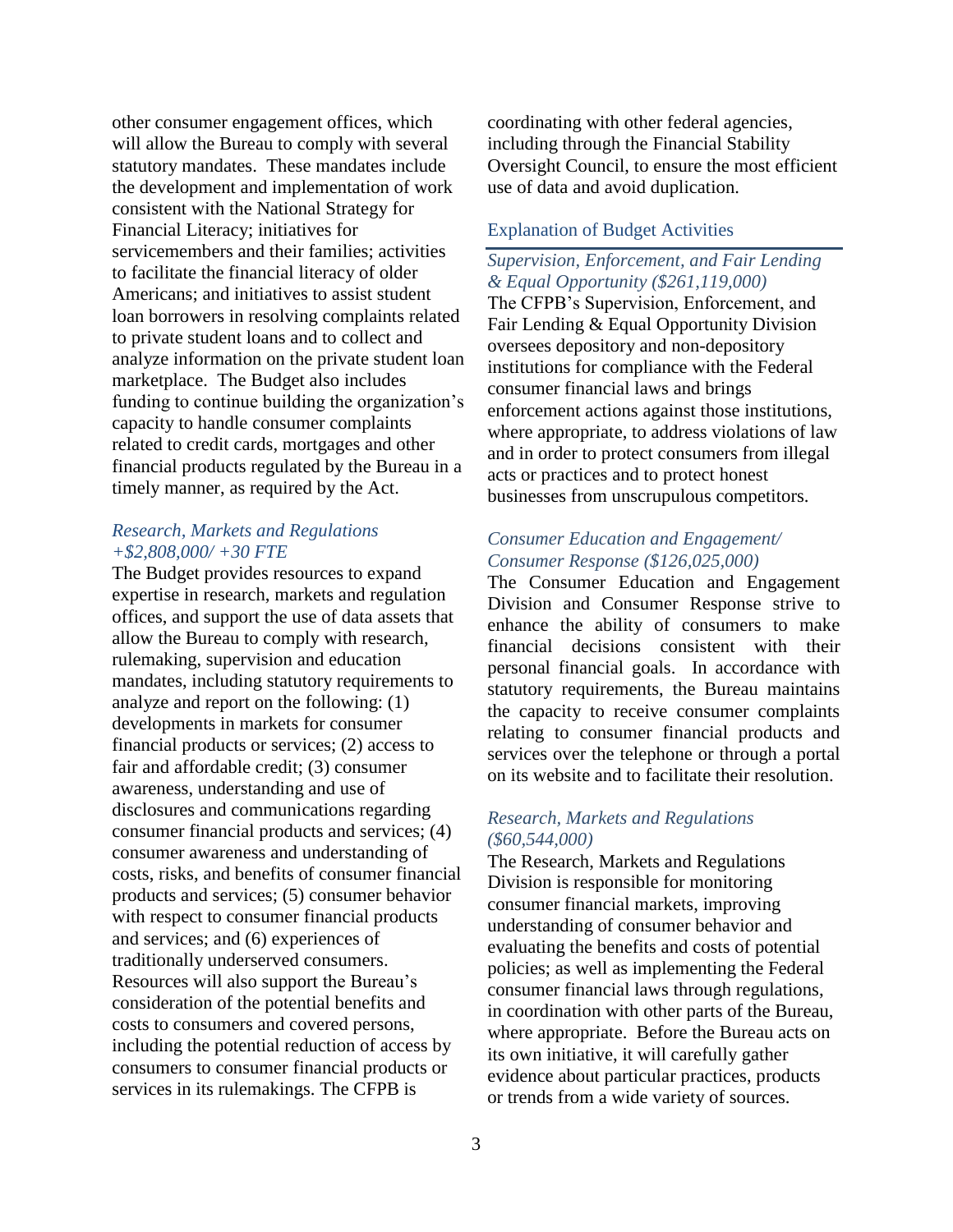other consumer engagement offices, which will allow the Bureau to comply with several statutory mandates. These mandates include the development and implementation of work consistent with the National Strategy for Financial Literacy; initiatives for servicemembers and their families; activities to facilitate the financial literacy of older Americans; and initiatives to assist student loan borrowers in resolving complaints related to private student loans and to collect and analyze information on the private student loan marketplace. The Budget also includes funding to continue building the organization's capacity to handle consumer complaints related to credit cards, mortgages and other financial products regulated by the Bureau in a timely manner, as required by the Act.

## *Research, Markets and Regulations +\$2,808,000/ +30 FTE*

The Budget provides resources to expand expertise in research, markets and regulation offices, and support the use of data assets that allow the Bureau to comply with research, rulemaking, supervision and education mandates, including statutory requirements to analyze and report on the following: (1) developments in markets for consumer financial products or services; (2) access to fair and affordable credit; (3) consumer awareness, understanding and use of disclosures and communications regarding consumer financial products and services; (4) consumer awareness and understanding of costs, risks, and benefits of consumer financial products and services; (5) consumer behavior with respect to consumer financial products and services; and (6) experiences of traditionally underserved consumers. Resources will also support the Bureau's consideration of the potential benefits and costs to consumers and covered persons, including the potential reduction of access by consumers to consumer financial products or services in its rulemakings. The CFPB is

coordinating with other federal agencies, including through the Financial Stability Oversight Council, to ensure the most efficient use of data and avoid duplication.

## Explanation of Budget Activities

# *Supervision, Enforcement, and Fair Lending & Equal Opportunity (\$261,119,000)*

The CFPB's Supervision, Enforcement, and Fair Lending & Equal Opportunity Division oversees depository and non-depository institutions for compliance with the Federal consumer financial laws and brings enforcement actions against those institutions, where appropriate, to address violations of law and in order to protect consumers from illegal acts or practices and to protect honest businesses from unscrupulous competitors.

# *Consumer Education and Engagement/ Consumer Response (\$126,025,000)*

The Consumer Education and Engagement Division and Consumer Response strive to enhance the ability of consumers to make financial decisions consistent with their personal financial goals. In accordance with statutory requirements, the Bureau maintains the capacity to receive consumer complaints relating to consumer financial products and services over the telephone or through a portal on its website and to facilitate their resolution.

## *Research, Markets and Regulations (\$60,544,000)*

The Research, Markets and Regulations Division is responsible for monitoring consumer financial markets, improving understanding of consumer behavior and evaluating the benefits and costs of potential policies; as well as implementing the Federal consumer financial laws through regulations, in coordination with other parts of the Bureau, where appropriate. Before the Bureau acts on its own initiative, it will carefully gather evidence about particular practices, products or trends from a wide variety of sources.